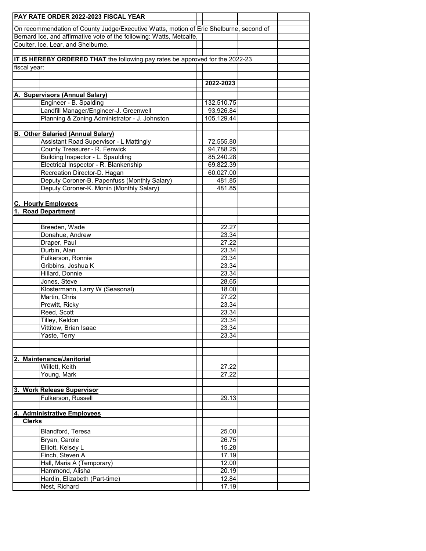|               | <b>PAY RATE ORDER 2022-2023 FISCAL YEAR</b>                                            |  |                |  |  |  |  |
|---------------|----------------------------------------------------------------------------------------|--|----------------|--|--|--|--|
|               | On recommendation of County Judge/Executive Watts, motion of Eric Shelburne, second of |  |                |  |  |  |  |
|               | Bernard Ice, and affirmative vote of the following: Watts, Metcalfe,                   |  |                |  |  |  |  |
|               | Coulter, Ice, Lear, and Shelburne.                                                     |  |                |  |  |  |  |
|               |                                                                                        |  |                |  |  |  |  |
|               | IT IS HEREBY ORDERED THAT the following pay rates be approved for the 2022-23          |  |                |  |  |  |  |
| fiscal year:  |                                                                                        |  |                |  |  |  |  |
|               |                                                                                        |  |                |  |  |  |  |
|               |                                                                                        |  | 2022-2023      |  |  |  |  |
|               |                                                                                        |  |                |  |  |  |  |
|               | A. Supervisors (Annual Salary)<br>Engineer - B. Spalding                               |  | 132,510.75     |  |  |  |  |
|               | Landfill Manager/Engineer-J. Greenwell                                                 |  | 93,926.84      |  |  |  |  |
|               | Planning & Zoning Administrator - J. Johnston                                          |  | 105,129.44     |  |  |  |  |
|               |                                                                                        |  |                |  |  |  |  |
|               | <b>B. Other Salaried (Annual Salary)</b>                                               |  |                |  |  |  |  |
|               | Assistant Road Supervisor - L Mattingly                                                |  | 72,555.80      |  |  |  |  |
|               | County Treasurer - R. Fenwick                                                          |  | 94,788.25      |  |  |  |  |
|               | Building Inspector - L. Spaulding                                                      |  | 85,240.28      |  |  |  |  |
|               | Electrical Inspector - R. Blankenship                                                  |  | 69,822.39      |  |  |  |  |
|               | Recreation Director-D. Hagan                                                           |  | 60,027.00      |  |  |  |  |
|               | Deputy Coroner-B. Papenfuss (Monthly Salary)                                           |  | 481.85         |  |  |  |  |
|               | Deputy Coroner-K. Monin (Monthly Salary)                                               |  | 481.85         |  |  |  |  |
|               |                                                                                        |  |                |  |  |  |  |
|               | <b>C. Hourly Employees</b>                                                             |  |                |  |  |  |  |
|               | 1. Road Department                                                                     |  |                |  |  |  |  |
|               |                                                                                        |  |                |  |  |  |  |
|               | Breeden, Wade<br>Donahue, Andrew                                                       |  | 22.27          |  |  |  |  |
|               | Draper, Paul                                                                           |  | 23.34<br>27.22 |  |  |  |  |
|               | Durbin, Alan                                                                           |  | 23.34          |  |  |  |  |
|               | Fulkerson, Ronnie                                                                      |  | 23.34          |  |  |  |  |
|               | Gribbins, Joshua K                                                                     |  | 23.34          |  |  |  |  |
|               | Hillard, Donnie                                                                        |  | 23.34          |  |  |  |  |
|               | Jones, Steve                                                                           |  | 28.65          |  |  |  |  |
|               | Klostermann, Larry W (Seasonal)                                                        |  | 18.00          |  |  |  |  |
|               | Martin, Chris                                                                          |  | 27.22          |  |  |  |  |
|               | Prewitt, Ricky                                                                         |  | 23.34          |  |  |  |  |
|               | Reed, Scott                                                                            |  | 23.34          |  |  |  |  |
|               | Tilley, Keldon                                                                         |  | 23.34          |  |  |  |  |
|               | Vittitow, Brian Isaac                                                                  |  | 23.34          |  |  |  |  |
|               | Yaste, Terry                                                                           |  | 23.34          |  |  |  |  |
|               |                                                                                        |  |                |  |  |  |  |
|               |                                                                                        |  |                |  |  |  |  |
|               | 2. Maintenance/Janitorial<br>Willett, Keith                                            |  |                |  |  |  |  |
|               | Young, Mark                                                                            |  | 27.22<br>27.22 |  |  |  |  |
|               |                                                                                        |  |                |  |  |  |  |
|               | 3. Work Release Supervisor                                                             |  |                |  |  |  |  |
|               | Fulkerson, Russell                                                                     |  | 29.13          |  |  |  |  |
|               |                                                                                        |  |                |  |  |  |  |
|               | 4. Administrative Employees                                                            |  |                |  |  |  |  |
| <b>Clerks</b> |                                                                                        |  |                |  |  |  |  |
|               | Blandford, Teresa                                                                      |  | 25.00          |  |  |  |  |
|               | Bryan, Carole                                                                          |  | 26.75          |  |  |  |  |
|               | Elliott, Kelsey L                                                                      |  | 15.28          |  |  |  |  |
|               | Finch, Steven A                                                                        |  | 17.19          |  |  |  |  |
|               | Hall, Maria A (Temporary)                                                              |  | 12.00          |  |  |  |  |
|               | Hammond, Alisha                                                                        |  | 20.19          |  |  |  |  |
|               | Hardin, Elizabeth (Part-time)                                                          |  | 12.84          |  |  |  |  |
|               | Nest, Richard                                                                          |  | 17.19          |  |  |  |  |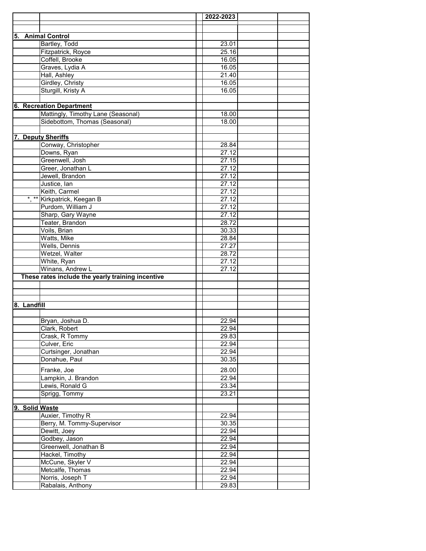|                |                                                   | 2022-2023 |  |
|----------------|---------------------------------------------------|-----------|--|
|                |                                                   |           |  |
|                |                                                   |           |  |
|                | 5. Animal Control                                 |           |  |
|                | Bartley, Todd                                     | 23.01     |  |
|                | Fitzpatrick, Royce                                | 25.16     |  |
|                | Coffell, Brooke                                   | 16.05     |  |
|                | Graves, Lydia A                                   | 16.05     |  |
|                | Hall, Ashley                                      | 21.40     |  |
|                | Girdley, Christy                                  | 16.05     |  |
|                | Sturgill, Kristy A                                | 16.05     |  |
|                |                                                   |           |  |
|                | <b>6. Recreation Department</b>                   |           |  |
|                | Mattingly, Timothy Lane (Seasonal)                | 18.00     |  |
|                | Sidebottom, Thomas (Seasonal)                     | 18.00     |  |
|                |                                                   |           |  |
|                | 7. Deputy Sheriffs                                |           |  |
|                | Conway, Christopher                               | 28.84     |  |
|                | Downs, Ryan                                       | 27.12     |  |
|                | Greenwell, Josh                                   | 27.15     |  |
|                | Greer, Jonathan L                                 | 27.12     |  |
|                | Jewell, Brandon                                   | 27.12     |  |
|                | Justice, lan                                      | 27.12     |  |
|                | Keith, Carmel                                     | 27.12     |  |
|                | *, ** Kirkpatrick, Keegan B                       | 27.12     |  |
|                | Purdom, William J                                 | 27.12     |  |
|                | Sharp, Gary Wayne                                 | 27.12     |  |
|                | Teater, Brandon                                   | 28.72     |  |
|                | Voils, Brian                                      | 30.33     |  |
|                | Watts, Mike                                       | 28.84     |  |
|                | Wells, Dennis                                     | 27.27     |  |
|                | Wetzel, Walter                                    | 28.72     |  |
|                | White, Ryan                                       | 27.12     |  |
|                | Winans, Andrew L                                  | 27.12     |  |
|                | These rates include the yearly training incentive |           |  |
|                |                                                   |           |  |
|                |                                                   |           |  |
|                |                                                   |           |  |
| 8. Landfill    |                                                   |           |  |
|                |                                                   |           |  |
|                | Bryan, Joshua D.                                  | 22.94     |  |
|                | Clark, Robert                                     | 22.94     |  |
|                | Crask, R Tommy                                    | 29.83     |  |
|                | Culver, Eric                                      | 22.94     |  |
|                | Curtsinger, Jonathan                              | 22.94     |  |
|                | Donahue, Paul                                     | 30.35     |  |
|                | Franke, Joe                                       | 28.00     |  |
|                | Lampkin, J. Brandon                               | 22.94     |  |
|                |                                                   |           |  |
|                | Lewis, Ronald G                                   | 23.34     |  |
|                | Sprigg, Tommy                                     | 23.21     |  |
| 9. Solid Waste |                                                   |           |  |
|                | Auxier, Timothy R                                 | 22.94     |  |
|                | Berry, M. Tommy-Supervisor                        | 30.35     |  |
|                | Dewitt, Joey                                      | 22.94     |  |
|                | Godbey, Jason                                     | 22.94     |  |
|                | Greenwell, Jonathan B                             | 22.94     |  |
|                |                                                   | 22.94     |  |
|                | Hackel, Timothy                                   |           |  |
|                | McCune, Skyler V                                  | 22.94     |  |
|                | Metcalfe, Thomas                                  | 22.94     |  |
|                | Norris, Joseph T                                  | 22.94     |  |
|                | Rabalais, Anthony                                 | 29.83     |  |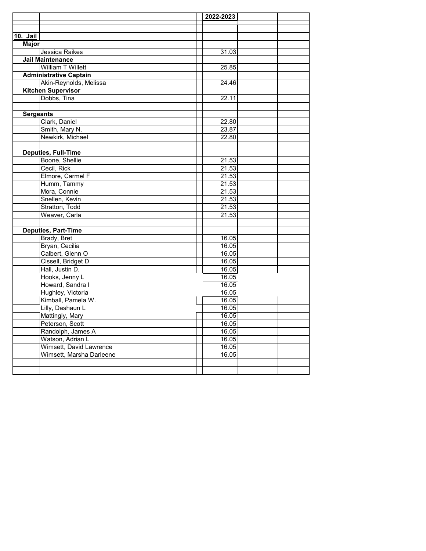|                  |                               | 2022-2023 |  |
|------------------|-------------------------------|-----------|--|
|                  |                               |           |  |
|                  |                               |           |  |
| 10. Jail         |                               |           |  |
| <b>Major</b>     |                               |           |  |
|                  | Jessica Raikes                | 31.03     |  |
|                  | <b>Jail Maintenance</b>       |           |  |
|                  | William T Willett             | 25.85     |  |
|                  | <b>Administrative Captain</b> |           |  |
|                  | Akin-Reynolds, Melissa        | 24.46     |  |
|                  | <b>Kitchen Supervisor</b>     |           |  |
|                  | Dobbs, Tina                   | 22.11     |  |
|                  |                               |           |  |
| <b>Sergeants</b> |                               |           |  |
|                  | Clark, Daniel                 | 22.80     |  |
|                  | Smith, Mary N.                | 23.87     |  |
|                  | Newkirk, Michael              | 22.80     |  |
|                  |                               |           |  |
|                  | <b>Deputies, Full-Time</b>    |           |  |
|                  | Boone, Shellie                | 21.53     |  |
|                  | Cecil, Rick                   | 21.53     |  |
|                  | Elmore, Carmel F              | 21.53     |  |
|                  | Humm, Tammy                   | 21.53     |  |
|                  | Mora, Connie                  | 21.53     |  |
|                  | Snellen, Kevin                | 21.53     |  |
|                  | Stratton, Todd                | 21.53     |  |
|                  | Weaver, Carla                 | 21.53     |  |
|                  |                               |           |  |
|                  | <b>Deputies, Part-Time</b>    |           |  |
|                  | Brady, Bret                   | 16.05     |  |
|                  | Bryan, Cecilia                | 16.05     |  |
|                  | Calbert, Glenn O              | 16.05     |  |
|                  | Cissell, Bridget D            | 16.05     |  |
|                  | Hall, Justin D.               | 16.05     |  |
|                  | Hooks, Jenny L                | 16.05     |  |
|                  | Howard, Sandra I              | 16.05     |  |
|                  | Hughley, Victoria             | 16.05     |  |
|                  | Kimball, Pamela W.            | 16.05     |  |
|                  | Lilly, Dashaun L              | 16.05     |  |
|                  | Mattingly, Mary               | 16.05     |  |
|                  | Peterson, Scott               | 16.05     |  |
|                  | Randolph, James A             | 16.05     |  |
|                  | Watson, Adrian L              | 16.05     |  |
|                  | Wimsett, David Lawrence       | 16.05     |  |
|                  | Wimsett, Marsha Darleene      | 16.05     |  |
|                  |                               |           |  |
|                  |                               |           |  |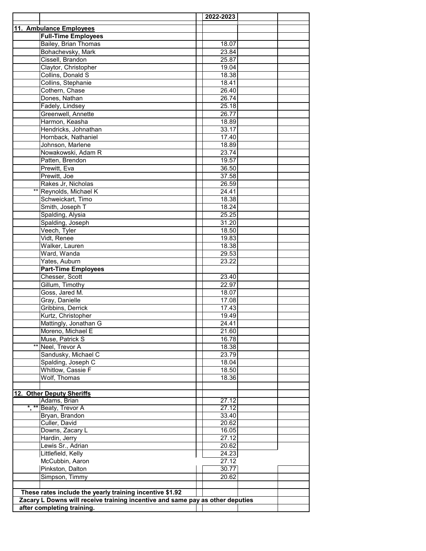|                                                                               |                                                          |  | 2022-2023 |  |  |
|-------------------------------------------------------------------------------|----------------------------------------------------------|--|-----------|--|--|
|                                                                               | 11. Ambulance Employees                                  |  |           |  |  |
|                                                                               | <b>Full-Time Employees</b>                               |  |           |  |  |
|                                                                               | Bailey, Brian Thomas                                     |  | 18.07     |  |  |
|                                                                               | Bohachevsky, Mark                                        |  | 23.84     |  |  |
|                                                                               | Cissell, Brandon                                         |  | 25.87     |  |  |
|                                                                               | Claytor, Christopher                                     |  | 19.04     |  |  |
|                                                                               | Collins, Donald S                                        |  | 18.38     |  |  |
|                                                                               | Collins, Stephanie                                       |  | 18.41     |  |  |
|                                                                               | Cothern, Chase                                           |  | 26.40     |  |  |
|                                                                               | Dones, Nathan                                            |  | 26.74     |  |  |
|                                                                               | Fadely, Lindsey                                          |  | 25.18     |  |  |
|                                                                               | Greenwell, Annette                                       |  | 26.77     |  |  |
|                                                                               | Harmon, Keasha                                           |  | 18.89     |  |  |
|                                                                               | Hendricks, Johnathan                                     |  | 33.17     |  |  |
|                                                                               | Hornback, Nathaniel                                      |  | 17.40     |  |  |
|                                                                               | Johnson, Marlene                                         |  | 18.89     |  |  |
|                                                                               | Nowakowski, Adam R                                       |  | 23.74     |  |  |
|                                                                               | Patten, Brendon                                          |  | 19.57     |  |  |
|                                                                               | Prewitt, Eva                                             |  | 36.50     |  |  |
|                                                                               | Prewitt, Joe                                             |  | 37.58     |  |  |
|                                                                               | Rakes Jr, Nicholas                                       |  | 26.59     |  |  |
|                                                                               | ** Reynolds, Michael K                                   |  | 24.41     |  |  |
|                                                                               | Schweickart, Timo                                        |  | 18.38     |  |  |
|                                                                               | Smith, Joseph T                                          |  | 18.24     |  |  |
|                                                                               | Spalding, Alysia                                         |  | 25.25     |  |  |
|                                                                               | Spalding, Joseph                                         |  | 31.20     |  |  |
|                                                                               | Veech, Tyler                                             |  | 18.50     |  |  |
|                                                                               | Vidt, Renee                                              |  | 19.83     |  |  |
|                                                                               | Walker, Lauren                                           |  | 18.38     |  |  |
|                                                                               | Ward, Wanda                                              |  | 29.53     |  |  |
|                                                                               | Yates, Auburn                                            |  | 23.22     |  |  |
|                                                                               | <b>Part-Time Employees</b>                               |  |           |  |  |
|                                                                               | Chesser, Scott                                           |  | 23.40     |  |  |
|                                                                               | Gillum, Timothy                                          |  | 22.97     |  |  |
|                                                                               | Goss, Jared M.                                           |  | 18.07     |  |  |
|                                                                               | Gray, Danielle                                           |  | 17.08     |  |  |
|                                                                               | Gribbins, Derrick                                        |  | 17.43     |  |  |
|                                                                               | Kurtz, Christopher                                       |  | 19.49     |  |  |
|                                                                               | Mattingly, Jonathan G                                    |  | 24.41     |  |  |
|                                                                               | Moreno, Michael E                                        |  | 21.60     |  |  |
| $***$                                                                         | Muse, Patrick S                                          |  | 16.78     |  |  |
|                                                                               | Neel, Trevor A                                           |  | 18.38     |  |  |
|                                                                               | Sandusky, Michael C                                      |  | 23.79     |  |  |
|                                                                               | Spalding, Joseph C                                       |  | 18.04     |  |  |
|                                                                               | Whitlow, Cassie F                                        |  | 18.50     |  |  |
|                                                                               | Wolf, Thomas                                             |  | 18.36     |  |  |
|                                                                               |                                                          |  |           |  |  |
|                                                                               | 12. Other Deputy Sheriffs<br>Adams, Brian                |  | 27.12     |  |  |
|                                                                               | *, ** Beaty, Trevor A                                    |  | 27.12     |  |  |
|                                                                               | Bryan, Brandon                                           |  | 33.40     |  |  |
|                                                                               | Culler, David                                            |  | 20.62     |  |  |
|                                                                               | Downs, Zacary L                                          |  | 16.05     |  |  |
|                                                                               | Hardin, Jerry                                            |  | 27.12     |  |  |
|                                                                               | Lewis Sr., Adrian                                        |  | 20.62     |  |  |
|                                                                               | Littlefield, Kelly                                       |  | 24.23     |  |  |
|                                                                               | McCubbin, Aaron                                          |  | 27.12     |  |  |
|                                                                               | Pinkston, Dalton                                         |  | 30.77     |  |  |
|                                                                               | Simpson, Timmy                                           |  | 20.62     |  |  |
|                                                                               |                                                          |  |           |  |  |
|                                                                               | These rates include the yearly training incentive \$1.92 |  |           |  |  |
| Zacary L Downs will receive training incentive and same pay as other deputies |                                                          |  |           |  |  |
|                                                                               | after completing training.                               |  |           |  |  |